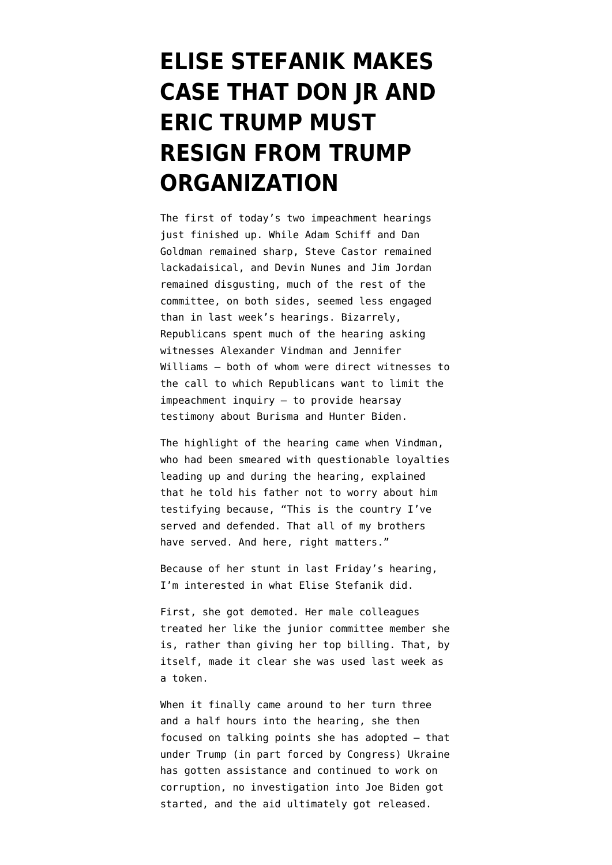## **[ELISE STEFANIK MAKES](https://www.emptywheel.net/2019/11/19/elise-stefanik-makes-case-that-don-jr-and-eric-trump-must-resign-from-trump-organization/) [CASE THAT DON JR AND](https://www.emptywheel.net/2019/11/19/elise-stefanik-makes-case-that-don-jr-and-eric-trump-must-resign-from-trump-organization/) [ERIC TRUMP MUST](https://www.emptywheel.net/2019/11/19/elise-stefanik-makes-case-that-don-jr-and-eric-trump-must-resign-from-trump-organization/) [RESIGN FROM TRUMP](https://www.emptywheel.net/2019/11/19/elise-stefanik-makes-case-that-don-jr-and-eric-trump-must-resign-from-trump-organization/) [ORGANIZATION](https://www.emptywheel.net/2019/11/19/elise-stefanik-makes-case-that-don-jr-and-eric-trump-must-resign-from-trump-organization/)**

The first of today's two impeachment hearings just finished up. While Adam Schiff and Dan Goldman remained sharp, Steve Castor remained lackadaisical, and Devin Nunes and Jim Jordan remained disgusting, much of the rest of the committee, on both sides, seemed less engaged than in last week's hearings. Bizarrely, Republicans spent much of the hearing asking witnesses Alexander Vindman and Jennifer Williams — both of whom were direct witnesses to the call to which Republicans want to limit the impeachment inquiry — to provide hearsay testimony about Burisma and Hunter Biden.

The highlight of the hearing came when Vindman, who had been smeared with questionable loyalties leading up and during the hearing, explained that he told his father not to worry about him testifying because, "This is the country I've served and defended. That all of my brothers have served. And here, right matters."

Because of her stunt in last Friday's hearing, I'm interested in what Elise Stefanik did.

First, she got demoted. Her male colleagues treated her like the junior committee member she is, rather than giving her top billing. That, by itself, made it clear she was used last week as a token.

When it finally came around to her turn three and a half hours into the hearing, she then focused on talking points she has adopted — that under Trump (in part forced by Congress) Ukraine has gotten assistance and continued to work on corruption, no investigation into Joe Biden got started, and the aid ultimately got released.